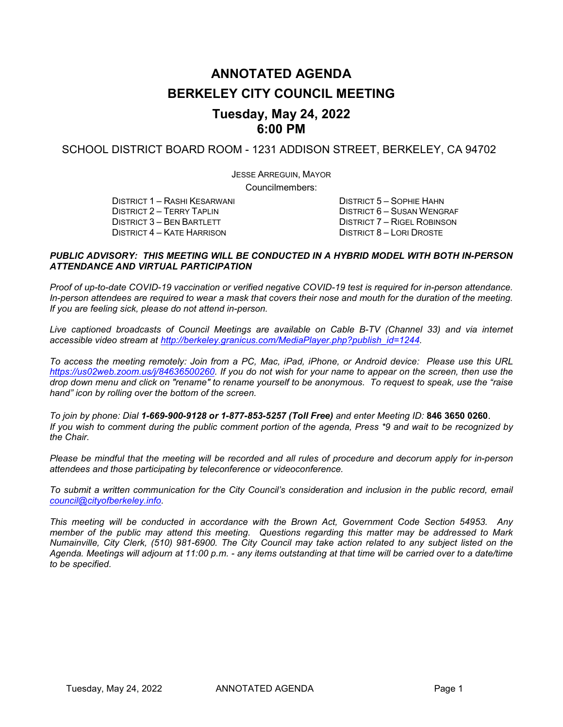# **ANNOTATED AGENDA BERKELEY CITY COUNCIL MEETING Tuesday, May 24, 2022**

#### SCHOOL DISTRICT BOARD ROOM - 1231 ADDISON STREET, BERKELEY, CA 94702

**6:00 PM**

JESSE ARREGUIN, MAYOR

Councilmembers:

DISTRICT 1 – RASHI KESARWANI DISTRICT 5 – SOPHIE HAHN DISTRICT 4 – KATE HARRISON

DISTRICT 2 – TERRY TAPLIN DISTRICT 6 – SUSAN WENGRAF DISTRICT 6 – SUSAN WENGRAF DISTRICT 3 – BEN BARTLETT DISTRICT 7 – RIGEL ROBINSON<br>DISTRICT 8 – LORI DROSTE

#### *PUBLIC ADVISORY: THIS MEETING WILL BE CONDUCTED IN A HYBRID MODEL WITH BOTH IN-PERSON ATTENDANCE AND VIRTUAL PARTICIPATION*

*Proof of up-to-date COVID-19 vaccination or verified negative COVID-19 test is required for in-person attendance. In-person attendees are required to wear a mask that covers their nose and mouth for the duration of the meeting. If you are feeling sick, please do not attend in-person.*

*Live captioned broadcasts of Council Meetings are available on Cable B-TV (Channel 33) and via internet accessible video stream at [http://berkeley.granicus.com/MediaPlayer.php?publish\\_id=1244.](http://berkeley.granicus.com/MediaPlayer.php?publish_id=1244)* 

*To access the meeting remotely: Join from a PC, Mac, iPad, iPhone, or Android device: Please use this URL [https://us02web.zoom.us/j/84636500260.](https://us02web.zoom.us/j/84636500260) If you do not wish for your name to appear on the screen, then use the drop down menu and click on "rename" to rename yourself to be anonymous. To request to speak, use the "raise hand" icon by rolling over the bottom of the screen.* 

*To join by phone: Dial 1-669-900-9128 or 1-877-853-5257 (Toll Free) and enter Meeting ID:* **846 3650 0260**. *If you wish to comment during the public comment portion of the agenda, Press \*9 and wait to be recognized by the Chair.* 

*Please be mindful that the meeting will be recorded and all rules of procedure and decorum apply for in-person attendees and those participating by teleconference or videoconference.*

*To submit a written communication for the City Council's consideration and inclusion in the public record, email [council@cityofberkeley.info.](mailto:council@cityofberkeley.info)* 

*This meeting will be conducted in accordance with the Brown Act, Government Code Section 54953. Any member of the public may attend this meeting. Questions regarding this matter may be addressed to Mark Numainville, City Clerk, (510) 981-6900. The City Council may take action related to any subject listed on the Agenda. Meetings will adjourn at 11:00 p.m. - any items outstanding at that time will be carried over to a date/time to be specified.*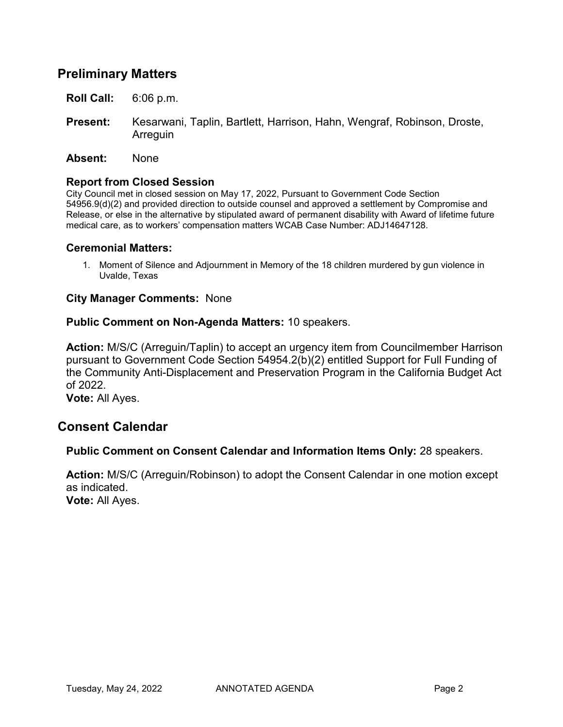## **Preliminary Matters**

- **Roll Call:** 6:06 p.m.
- **Present:** Kesarwani, Taplin, Bartlett, Harrison, Hahn, Wengraf, Robinson, Droste, **Arreguin**
- **Absent:** None

#### **Report from Closed Session**

City Council met in closed session on May 17, 2022, Pursuant to Government Code Section 54956.9(d)(2) and provided direction to outside counsel and approved a settlement by Compromise and Release, or else in the alternative by stipulated award of permanent disability with Award of lifetime future medical care, as to workers' compensation matters WCAB Case Number: ADJ14647128.

#### **Ceremonial Matters:**

1. Moment of Silence and Adjournment in Memory of the 18 children murdered by gun violence in Uvalde, Texas

#### **City Manager Comments:** None

#### **Public Comment on Non-Agenda Matters:** 10 speakers.

**Action:** M/S/C (Arreguin/Taplin) to accept an urgency item from Councilmember Harrison pursuant to Government Code Section 54954.2(b)(2) entitled Support for Full Funding of the Community Anti-Displacement and Preservation Program in the California Budget Act of 2022.

**Vote:** All Ayes.

### **Consent Calendar**

#### **Public Comment on Consent Calendar and Information Items Only:** 28 speakers.

**Action:** M/S/C (Arreguin/Robinson) to adopt the Consent Calendar in one motion except as indicated.

**Vote:** All Ayes.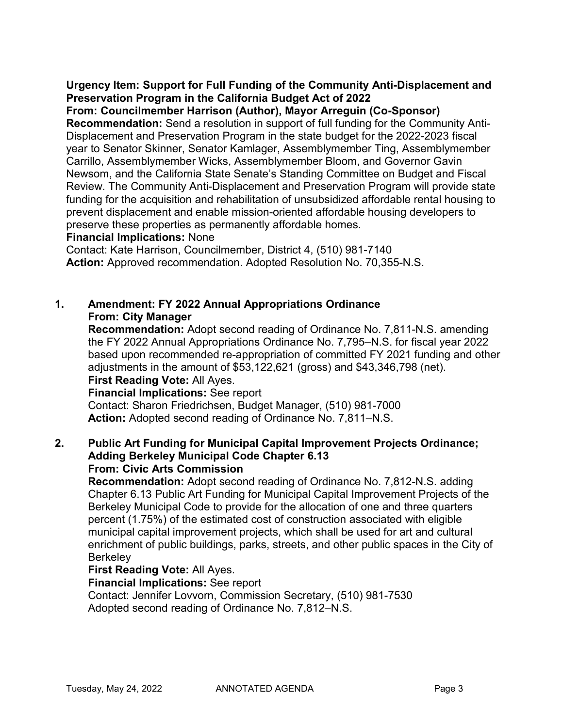**Urgency Item: Support for Full Funding of the Community Anti-Displacement and Preservation Program in the California Budget Act of 2022**

**From: Councilmember Harrison (Author), Mayor Arreguin (Co-Sponsor)**

**Recommendation:** Send a resolution in support of full funding for the Community Anti-Displacement and Preservation Program in the state budget for the 2022-2023 fiscal year to Senator Skinner, Senator Kamlager, Assemblymember Ting, Assemblymember Carrillo, Assemblymember Wicks, Assemblymember Bloom, and Governor Gavin Newsom, and the California State Senate's Standing Committee on Budget and Fiscal Review. The Community Anti-Displacement and Preservation Program will provide state funding for the acquisition and rehabilitation of unsubsidized affordable rental housing to prevent displacement and enable mission-oriented affordable housing developers to preserve these properties as permanently affordable homes.

### **Financial Implications:** None

Contact: Kate Harrison, Councilmember, District 4, (510) 981-7140 **Action:** Approved recommendation. Adopted Resolution No. 70,355-N.S.

## **1. Amendment: FY 2022 Annual Appropriations Ordinance From: City Manager**

**Recommendation:** Adopt second reading of Ordinance No. 7,811-N.S. amending the FY 2022 Annual Appropriations Ordinance No. 7,795–N.S. for fiscal year 2022 based upon recommended re-appropriation of committed FY 2021 funding and other adjustments in the amount of \$53,122,621 (gross) and \$43,346,798 (net).

## **First Reading Vote:** All Ayes.

**Financial Implications:** See report

Contact: Sharon Friedrichsen, Budget Manager, (510) 981-7000 **Action:** Adopted second reading of Ordinance No. 7,811–N.S.

#### **2. Public Art Funding for Municipal Capital Improvement Projects Ordinance; Adding Berkeley Municipal Code Chapter 6.13 From: Civic Arts Commission**

**Recommendation:** Adopt second reading of Ordinance No. 7,812-N.S. adding Chapter 6.13 Public Art Funding for Municipal Capital Improvement Projects of the Berkeley Municipal Code to provide for the allocation of one and three quarters percent (1.75%) of the estimated cost of construction associated with eligible municipal capital improvement projects, which shall be used for art and cultural enrichment of public buildings, parks, streets, and other public spaces in the City of **Berkelev** 

### **First Reading Vote:** All Ayes.

**Financial Implications:** See report

Contact: Jennifer Lovvorn, Commission Secretary, (510) 981-7530 Adopted second reading of Ordinance No. 7,812–N.S.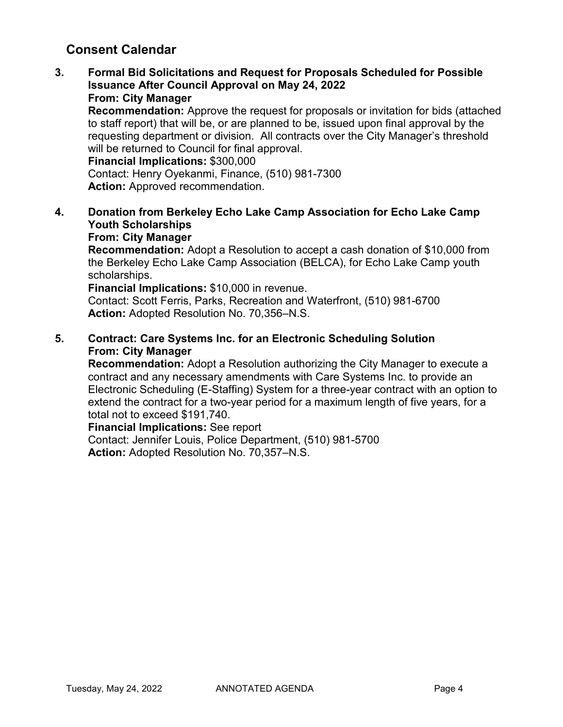## **Consent Calendar**

**3. Formal Bid Solicitations and Request for Proposals Scheduled for Possible Issuance After Council Approval on May 24, 2022 From: City Manager**

**Recommendation:** Approve the request for proposals or invitation for bids (attached to staff report) that will be, or are planned to be, issued upon final approval by the requesting department or division. All contracts over the City Manager's threshold will be returned to Council for final approval.

**Financial Implications:** \$300,000

Contact: Henry Oyekanmi, Finance, (510) 981-7300 **Action:** Approved recommendation.

**4. Donation from Berkeley Echo Lake Camp Association for Echo Lake Camp Youth Scholarships**

## **From: City Manager**

**Recommendation:** Adopt a Resolution to accept a cash donation of \$10,000 from the Berkeley Echo Lake Camp Association (BELCA), for Echo Lake Camp youth scholarships.

**Financial Implications:** \$10,000 in revenue.

Contact: Scott Ferris, Parks, Recreation and Waterfront, (510) 981-6700 **Action:** Adopted Resolution No. 70,356–N.S.

### **5. Contract: Care Systems Inc. for an Electronic Scheduling Solution From: City Manager**

**Recommendation:** Adopt a Resolution authorizing the City Manager to execute a contract and any necessary amendments with Care Systems Inc. to provide an Electronic Scheduling (E-Staffing) System for a three-year contract with an option to extend the contract for a two-year period for a maximum length of five years, for a total not to exceed \$191,740.

**Financial Implications:** See report

Contact: Jennifer Louis, Police Department, (510) 981-5700 **Action:** Adopted Resolution No. 70,357–N.S.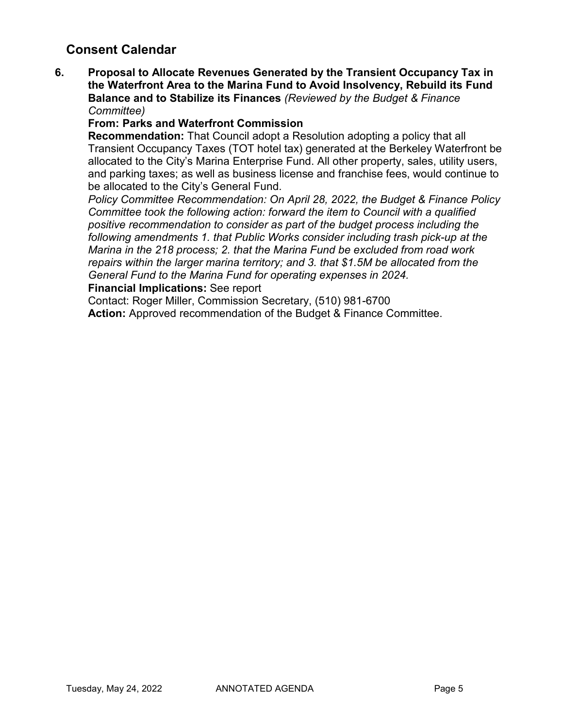## **Consent Calendar**

**6. Proposal to Allocate Revenues Generated by the Transient Occupancy Tax in the Waterfront Area to the Marina Fund to Avoid Insolvency, Rebuild its Fund Balance and to Stabilize its Finances** *(Reviewed by the Budget & Finance Committee)*

### **From: Parks and Waterfront Commission**

**Recommendation:** That Council adopt a Resolution adopting a policy that all Transient Occupancy Taxes (TOT hotel tax) generated at the Berkeley Waterfront be allocated to the City's Marina Enterprise Fund. All other property, sales, utility users, and parking taxes; as well as business license and franchise fees, would continue to be allocated to the City's General Fund.

*Policy Committee Recommendation: On April 28, 2022, the Budget & Finance Policy Committee took the following action: forward the item to Council with a qualified positive recommendation to consider as part of the budget process including the following amendments 1. that Public Works consider including trash pick-up at the Marina in the 218 process; 2. that the Marina Fund be excluded from road work repairs within the larger marina territory; and 3. that \$1.5M be allocated from the General Fund to the Marina Fund for operating expenses in 2024.* 

#### **Financial Implications:** See report

Contact: Roger Miller, Commission Secretary, (510) 981-6700

**Action:** Approved recommendation of the Budget & Finance Committee.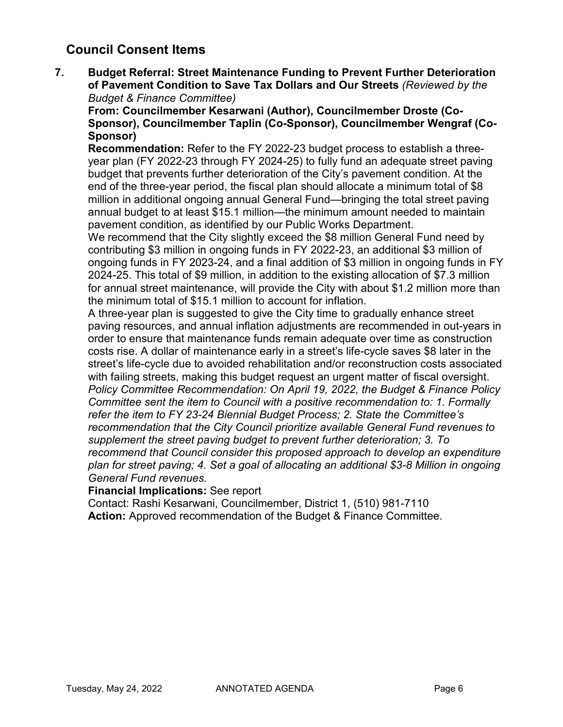**7. Budget Referral: Street Maintenance Funding to Prevent Further Deterioration of Pavement Condition to Save Tax Dollars and Our Streets** *(Reviewed by the Budget & Finance Committee)*

**From: Councilmember Kesarwani (Author), Councilmember Droste (Co-Sponsor), Councilmember Taplin (Co-Sponsor), Councilmember Wengraf (Co-Sponsor)**

**Recommendation:** Refer to the FY 2022-23 budget process to establish a threeyear plan (FY 2022-23 through FY 2024-25) to fully fund an adequate street paving budget that prevents further deterioration of the City's pavement condition. At the end of the three-year period, the fiscal plan should allocate a minimum total of \$8 million in additional ongoing annual General Fund—bringing the total street paving annual budget to at least \$15.1 million—the minimum amount needed to maintain pavement condition, as identified by our Public Works Department.

We recommend that the City slightly exceed the \$8 million General Fund need by contributing \$3 million in ongoing funds in FY 2022-23, an additional \$3 million of ongoing funds in FY 2023-24, and a final addition of \$3 million in ongoing funds in FY 2024-25. This total of \$9 million, in addition to the existing allocation of \$7.3 million for annual street maintenance, will provide the City with about \$1.2 million more than the minimum total of \$15.1 million to account for inflation.

A three-year plan is suggested to give the City time to gradually enhance street paving resources, and annual inflation adjustments are recommended in out-years in order to ensure that maintenance funds remain adequate over time as construction costs rise. A dollar of maintenance early in a street's life-cycle saves \$8 later in the street's life-cycle due to avoided rehabilitation and/or reconstruction costs associated with failing streets, making this budget request an urgent matter of fiscal oversight. *Policy Committee Recommendation: On April 19, 2022, the Budget & Finance Policy Committee sent the item to Council with a positive recommendation to: 1. Formally refer the item to FY 23-24 Biennial Budget Process; 2. State the Committee's recommendation that the City Council prioritize available General Fund revenues to supplement the street paving budget to prevent further deterioration; 3. To recommend that Council consider this proposed approach to develop an expenditure plan for street paving; 4. Set a goal of allocating an additional \$3-8 Million in ongoing General Fund revenues.*

### **Financial Implications:** See report

Contact: Rashi Kesarwani, Councilmember, District 1, (510) 981-7110 **Action:** Approved recommendation of the Budget & Finance Committee.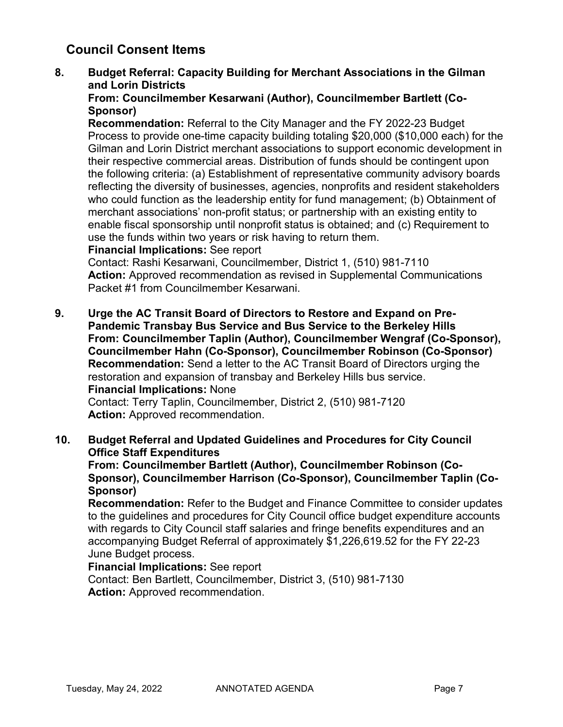### **8. Budget Referral: Capacity Building for Merchant Associations in the Gilman and Lorin Districts**

### **From: Councilmember Kesarwani (Author), Councilmember Bartlett (Co-Sponsor)**

**Recommendation:** Referral to the City Manager and the FY 2022-23 Budget Process to provide one-time capacity building totaling \$20,000 (\$10,000 each) for the Gilman and Lorin District merchant associations to support economic development in their respective commercial areas. Distribution of funds should be contingent upon the following criteria: (a) Establishment of representative community advisory boards reflecting the diversity of businesses, agencies, nonprofits and resident stakeholders who could function as the leadership entity for fund management; (b) Obtainment of merchant associations' non-profit status; or partnership with an existing entity to enable fiscal sponsorship until nonprofit status is obtained; and (c) Requirement to use the funds within two years or risk having to return them.

### **Financial Implications:** See report

Contact: Rashi Kesarwani, Councilmember, District 1, (510) 981-7110 **Action:** Approved recommendation as revised in Supplemental Communications Packet #1 from Councilmember Kesarwani.

**9. Urge the AC Transit Board of Directors to Restore and Expand on Pre-Pandemic Transbay Bus Service and Bus Service to the Berkeley Hills From: Councilmember Taplin (Author), Councilmember Wengraf (Co-Sponsor), Councilmember Hahn (Co-Sponsor), Councilmember Robinson (Co-Sponsor) Recommendation:** Send a letter to the AC Transit Board of Directors urging the restoration and expansion of transbay and Berkeley Hills bus service. **Financial Implications:** None Contact: Terry Taplin, Councilmember, District 2, (510) 981-7120 **Action:** Approved recommendation.

### **10. Budget Referral and Updated Guidelines and Procedures for City Council Office Staff Expenditures**

**From: Councilmember Bartlett (Author), Councilmember Robinson (Co-Sponsor), Councilmember Harrison (Co-Sponsor), Councilmember Taplin (Co-Sponsor)**

**Recommendation:** Refer to the Budget and Finance Committee to consider updates to the guidelines and procedures for City Council office budget expenditure accounts with regards to City Council staff salaries and fringe benefits expenditures and an accompanying Budget Referral of approximately \$1,226,619.52 for the FY 22-23 June Budget process.

### **Financial Implications:** See report

Contact: Ben Bartlett, Councilmember, District 3, (510) 981-7130 **Action:** Approved recommendation.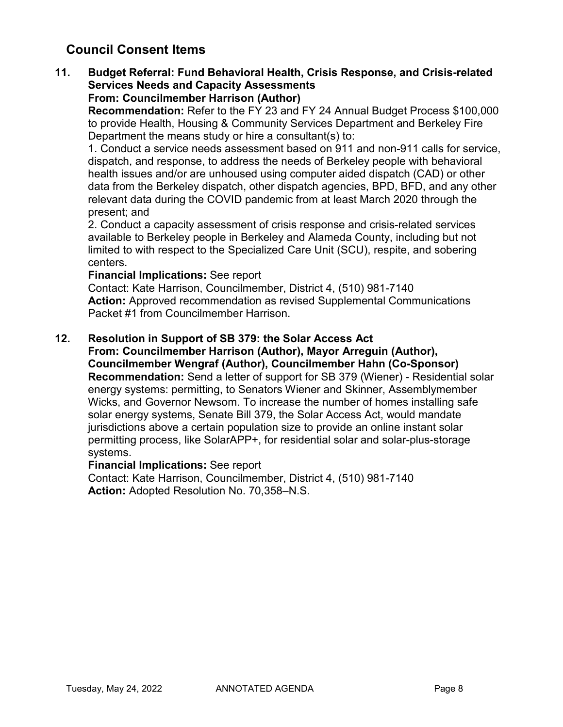#### **11. Budget Referral: Fund Behavioral Health, Crisis Response, and Crisis-related Services Needs and Capacity Assessments From: Councilmember Harrison (Author)**

**Recommendation:** Refer to the FY 23 and FY 24 Annual Budget Process \$100,000 to provide Health, Housing & Community Services Department and Berkeley Fire Department the means study or hire a consultant(s) to:

1. Conduct a service needs assessment based on 911 and non-911 calls for service, dispatch, and response, to address the needs of Berkeley people with behavioral health issues and/or are unhoused using computer aided dispatch (CAD) or other data from the Berkeley dispatch, other dispatch agencies, BPD, BFD, and any other relevant data during the COVID pandemic from at least March 2020 through the present; and

2. Conduct a capacity assessment of crisis response and crisis-related services available to Berkeley people in Berkeley and Alameda County, including but not limited to with respect to the Specialized Care Unit (SCU), respite, and sobering centers.

#### **Financial Implications:** See report

Contact: Kate Harrison, Councilmember, District 4, (510) 981-7140 **Action:** Approved recommendation as revised Supplemental Communications Packet #1 from Councilmember Harrison.

### **12. Resolution in Support of SB 379: the Solar Access Act**

**From: Councilmember Harrison (Author), Mayor Arreguin (Author), Councilmember Wengraf (Author), Councilmember Hahn (Co-Sponsor) Recommendation:** Send a letter of support for SB 379 (Wiener) - Residential solar energy systems: permitting, to Senators Wiener and Skinner, Assemblymember Wicks, and Governor Newsom. To increase the number of homes installing safe solar energy systems, Senate Bill 379, the Solar Access Act, would mandate jurisdictions above a certain population size to provide an online instant solar permitting process, like SolarAPP+, for residential solar and solar-plus-storage systems.

### **Financial Implications:** See report

Contact: Kate Harrison, Councilmember, District 4, (510) 981-7140 **Action:** Adopted Resolution No. 70,358–N.S.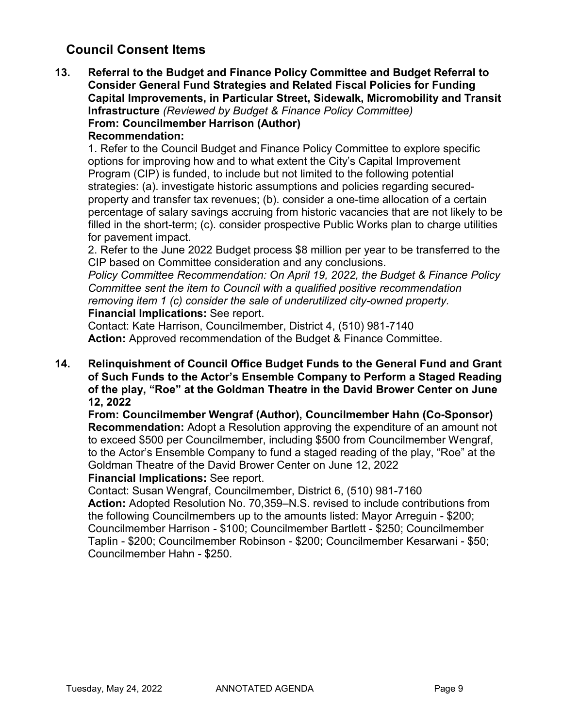**13. Referral to the Budget and Finance Policy Committee and Budget Referral to Consider General Fund Strategies and Related Fiscal Policies for Funding Capital Improvements, in Particular Street, Sidewalk, Micromobility and Transit Infrastructure** *(Reviewed by Budget & Finance Policy Committee)* **From: Councilmember Harrison (Author) Recommendation:** 

1. Refer to the Council Budget and Finance Policy Committee to explore specific options for improving how and to what extent the City's Capital Improvement Program (CIP) is funded, to include but not limited to the following potential strategies: (a). investigate historic assumptions and policies regarding securedproperty and transfer tax revenues; (b). consider a one-time allocation of a certain percentage of salary savings accruing from historic vacancies that are not likely to be filled in the short-term; (c). consider prospective Public Works plan to charge utilities for pavement impact.

2. Refer to the June 2022 Budget process \$8 million per year to be transferred to the CIP based on Committee consideration and any conclusions.

*Policy Committee Recommendation: On April 19, 2022, the Budget & Finance Policy Committee sent the item to Council with a qualified positive recommendation removing item 1 (c) consider the sale of underutilized city-owned property.* **Financial Implications:** See report.

Contact: Kate Harrison, Councilmember, District 4, (510) 981-7140 **Action:** Approved recommendation of the Budget & Finance Committee.

**14. Relinquishment of Council Office Budget Funds to the General Fund and Grant of Such Funds to the Actor's Ensemble Company to Perform a Staged Reading of the play, "Roe" at the Goldman Theatre in the David Brower Center on June 12, 2022**

**From: Councilmember Wengraf (Author), Councilmember Hahn (Co-Sponsor) Recommendation:** Adopt a Resolution approving the expenditure of an amount not to exceed \$500 per Councilmember, including \$500 from Councilmember Wengraf, to the Actor's Ensemble Company to fund a staged reading of the play, "Roe" at the Goldman Theatre of the David Brower Center on June 12, 2022

### **Financial Implications:** See report.

Contact: Susan Wengraf, Councilmember, District 6, (510) 981-7160

**Action:** Adopted Resolution No. 70,359–N.S. revised to include contributions from the following Councilmembers up to the amounts listed: Mayor Arreguin - \$200; Councilmember Harrison - \$100; Councilmember Bartlett - \$250; Councilmember Taplin - \$200; Councilmember Robinson - \$200; Councilmember Kesarwani - \$50; Councilmember Hahn - \$250.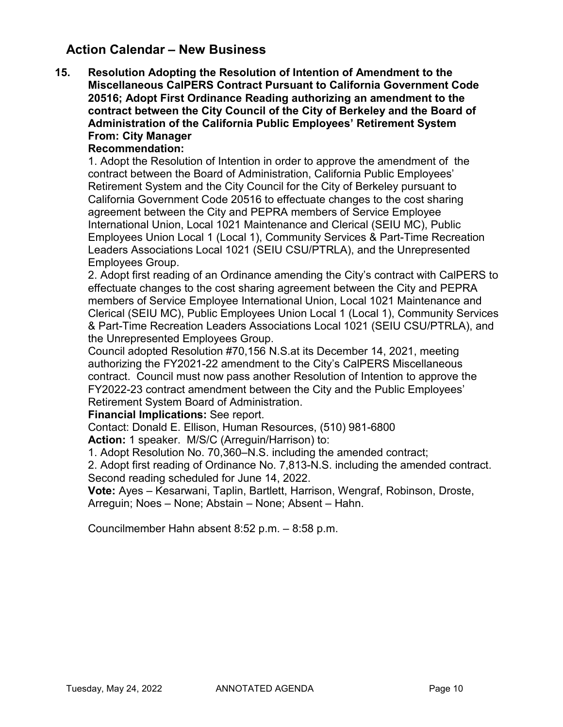## **Action Calendar – New Business**

**15. Resolution Adopting the Resolution of Intention of Amendment to the Miscellaneous CalPERS Contract Pursuant to California Government Code 20516; Adopt First Ordinance Reading authorizing an amendment to the contract between the City Council of the City of Berkeley and the Board of Administration of the California Public Employees' Retirement System From: City Manager**

### **Recommendation:**

1. Adopt the Resolution of Intention in order to approve the amendment of the contract between the Board of Administration, California Public Employees' Retirement System and the City Council for the City of Berkeley pursuant to California Government Code 20516 to effectuate changes to the cost sharing agreement between the City and PEPRA members of Service Employee International Union, Local 1021 Maintenance and Clerical (SEIU MC), Public Employees Union Local 1 (Local 1), Community Services & Part-Time Recreation Leaders Associations Local 1021 (SEIU CSU/PTRLA), and the Unrepresented Employees Group.

2. Adopt first reading of an Ordinance amending the City's contract with CalPERS to effectuate changes to the cost sharing agreement between the City and PEPRA members of Service Employee International Union, Local 1021 Maintenance and Clerical (SEIU MC), Public Employees Union Local 1 (Local 1), Community Services & Part-Time Recreation Leaders Associations Local 1021 (SEIU CSU/PTRLA), and the Unrepresented Employees Group.

Council adopted Resolution #70,156 N.S.at its December 14, 2021, meeting authorizing the FY2021-22 amendment to the City's CalPERS Miscellaneous contract. Council must now pass another Resolution of Intention to approve the FY2022-23 contract amendment between the City and the Public Employees' Retirement System Board of Administration.

**Financial Implications:** See report.

Contact: Donald E. Ellison, Human Resources, (510) 981-6800

**Action:** 1 speaker. M/S/C (Arreguin/Harrison) to:

1. Adopt Resolution No. 70,360–N.S. including the amended contract;

2. Adopt first reading of Ordinance No. 7,813-N.S. including the amended contract. Second reading scheduled for June 14, 2022.

**Vote:** Ayes – Kesarwani, Taplin, Bartlett, Harrison, Wengraf, Robinson, Droste, Arreguin; Noes – None; Abstain – None; Absent – Hahn.

Councilmember Hahn absent 8:52 p.m. – 8:58 p.m.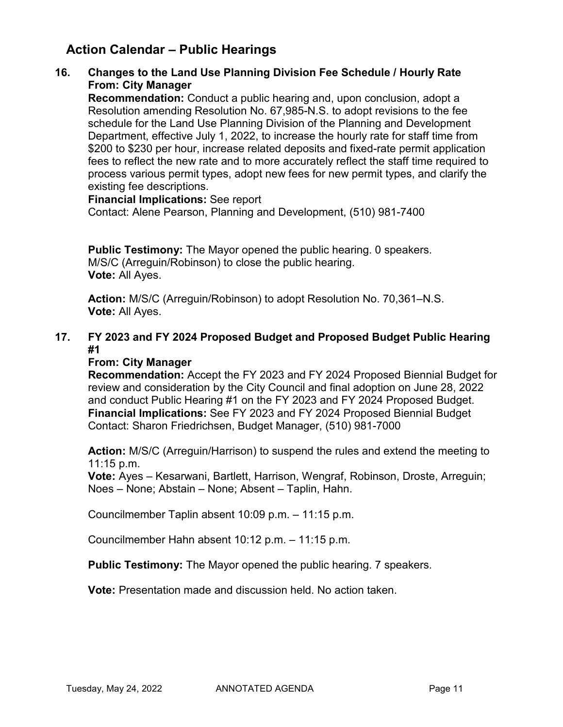## **Action Calendar – Public Hearings**

### **16. Changes to the Land Use Planning Division Fee Schedule / Hourly Rate From: City Manager**

**Recommendation:** Conduct a public hearing and, upon conclusion, adopt a Resolution amending Resolution No. 67,985-N.S. to adopt revisions to the fee schedule for the Land Use Planning Division of the Planning and Development Department, effective July 1, 2022, to increase the hourly rate for staff time from \$200 to \$230 per hour, increase related deposits and fixed-rate permit application fees to reflect the new rate and to more accurately reflect the staff time required to process various permit types, adopt new fees for new permit types, and clarify the existing fee descriptions.

**Financial Implications:** See report Contact: Alene Pearson, Planning and Development, (510) 981-7400

**Public Testimony:** The Mayor opened the public hearing. 0 speakers. M/S/C (Arreguin/Robinson) to close the public hearing. **Vote:** All Ayes.

**Action:** M/S/C (Arreguin/Robinson) to adopt Resolution No. 70,361–N.S. **Vote:** All Ayes.

## **17. FY 2023 and FY 2024 Proposed Budget and Proposed Budget Public Hearing #1**

### **From: City Manager**

**Recommendation:** Accept the FY 2023 and FY 2024 Proposed Biennial Budget for review and consideration by the City Council and final adoption on June 28, 2022 and conduct Public Hearing #1 on the FY 2023 and FY 2024 Proposed Budget. **Financial Implications:** See FY 2023 and FY 2024 Proposed Biennial Budget Contact: Sharon Friedrichsen, Budget Manager, (510) 981-7000

**Action:** M/S/C (Arreguin/Harrison) to suspend the rules and extend the meeting to 11:15 p.m.

**Vote:** Ayes – Kesarwani, Bartlett, Harrison, Wengraf, Robinson, Droste, Arreguin; Noes – None; Abstain – None; Absent – Taplin, Hahn.

Councilmember Taplin absent 10:09 p.m. – 11:15 p.m.

Councilmember Hahn absent 10:12 p.m. – 11:15 p.m.

**Public Testimony:** The Mayor opened the public hearing. 7 speakers.

**Vote:** Presentation made and discussion held. No action taken.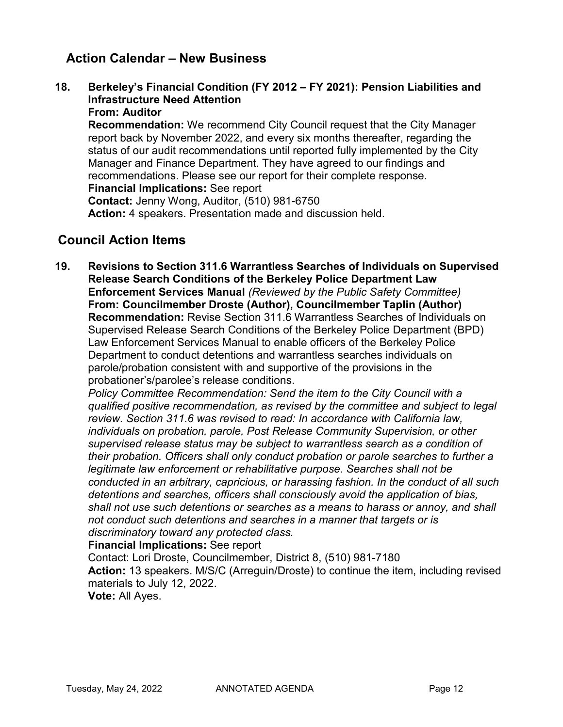## **Action Calendar – New Business**

**18. Berkeley's Financial Condition (FY 2012 – FY 2021): Pension Liabilities and Infrastructure Need Attention From: Auditor**

**Recommendation:** We recommend City Council request that the City Manager report back by November 2022, and every six months thereafter, regarding the status of our audit recommendations until reported fully implemented by the City Manager and Finance Department. They have agreed to our findings and recommendations. Please see our report for their complete response. **Financial Implications:** See report **Contact:** Jenny Wong, Auditor, (510) 981-6750 **Action:** 4 speakers. Presentation made and discussion held.

## **Council Action Items**

**19. Revisions to Section 311.6 Warrantless Searches of Individuals on Supervised Release Search Conditions of the Berkeley Police Department Law Enforcement Services Manual** *(Reviewed by the Public Safety Committee)* **From: Councilmember Droste (Author), Councilmember Taplin (Author) Recommendation:** Revise Section 311.6 Warrantless Searches of Individuals on Supervised Release Search Conditions of the Berkeley Police Department (BPD) Law Enforcement Services Manual to enable officers of the Berkeley Police Department to conduct detentions and warrantless searches individuals on parole/probation consistent with and supportive of the provisions in the probationer's/parolee's release conditions.

*Policy Committee Recommendation: Send the item to the City Council with a qualified positive recommendation, as revised by the committee and subject to legal review. Section 311.6 was revised to read: In accordance with California law, individuals on probation, parole, Post Release Community Supervision, or other supervised release status may be subject to warrantless search as a condition of their probation. Officers shall only conduct probation or parole searches to further a legitimate law enforcement or rehabilitative purpose. Searches shall not be conducted in an arbitrary, capricious, or harassing fashion. In the conduct of all such detentions and searches, officers shall consciously avoid the application of bias, shall not use such detentions or searches as a means to harass or annoy, and shall not conduct such detentions and searches in a manner that targets or is discriminatory toward any protected class.*

**Financial Implications:** See report

Contact: Lori Droste, Councilmember, District 8, (510) 981-7180 **Action:** 13 speakers. M/S/C (Arreguin/Droste) to continue the item, including revised materials to July 12, 2022.

**Vote:** All Ayes.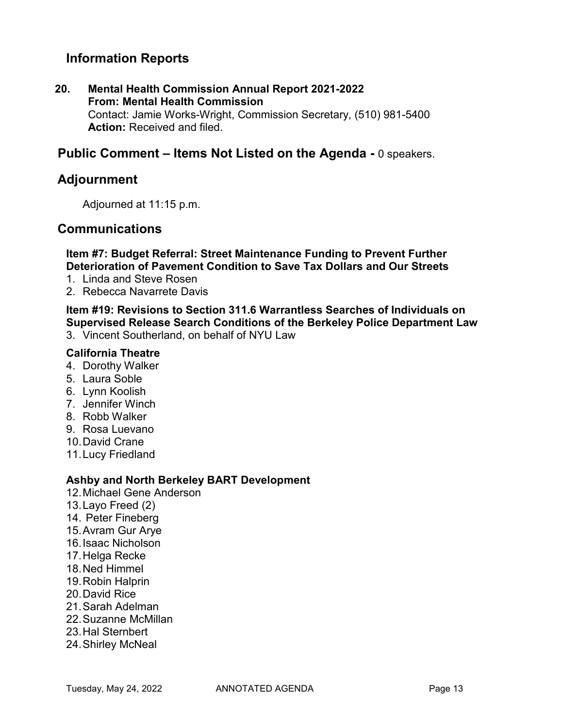## **Information Reports**

**20. Mental Health Commission Annual Report 2021-2022 From: Mental Health Commission** Contact: Jamie Works-Wright, Commission Secretary, (510) 981-5400 **Action:** Received and filed.

## **Public Comment – Items Not Listed on the Agenda -** 0 speakers.

### **Adjournment**

Adjourned at 11:15 p.m.

### **Communications**

**Item #7: Budget Referral: Street Maintenance Funding to Prevent Further Deterioration of Pavement Condition to Save Tax Dollars and Our Streets**

- 1. Linda and Steve Rosen
- 2. Rebecca Navarrete Davis

**Item #19: Revisions to Section 311.6 Warrantless Searches of Individuals on Supervised Release Search Conditions of the Berkeley Police Department Law**

3. Vincent Southerland, on behalf of NYU Law

#### **California Theatre**

- 4. Dorothy Walker
- 5. Laura Soble
- 6. Lynn Koolish
- 7. Jennifer Winch
- 8. Robb Walker
- 9. Rosa Luevano
- 10.David Crane
- 11.Lucy Friedland

#### **Ashby and North Berkeley BART Development**

- 12.Michael Gene Anderson
- 13.Layo Freed (2)
- 14. Peter Fineberg
- 15.Avram Gur Arye
- 16.Isaac Nicholson
- 17.Helga Recke
- 18.Ned Himmel
- 19.Robin Halprin
- 20.David Rice
- 21.Sarah Adelman
- 22.Suzanne McMillan
- 23.Hal Sternbert
- 24.Shirley McNeal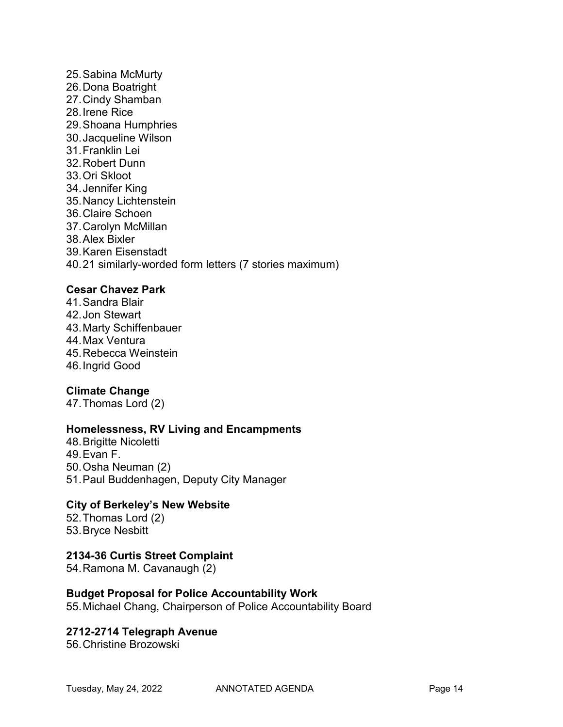25.Sabina McMurty 26.Dona Boatright 27.Cindy Shamban 28.Irene Rice 29.Shoana Humphries 30.Jacqueline Wilson 31.Franklin Lei 32.Robert Dunn 33.Ori Skloot 34.Jennifer King 35.Nancy Lichtenstein 36.Claire Schoen 37.Carolyn McMillan 38.Alex Bixler 39.Karen Eisenstadt 40.21 similarly-worded form letters (7 stories maximum)

### **Cesar Chavez Park**

41.Sandra Blair 42.Jon Stewart 43.Marty Schiffenbauer 44.Max Ventura 45.Rebecca Weinstein 46.Ingrid Good

### **Climate Change**

47.Thomas Lord (2)

### **Homelessness, RV Living and Encampments**

48.Brigitte Nicoletti 49.Evan F. 50.Osha Neuman (2) 51.Paul Buddenhagen, Deputy City Manager

#### **City of Berkeley's New Website**

52.Thomas Lord (2) 53.Bryce Nesbitt

## **2134-36 Curtis Street Complaint**

54.Ramona M. Cavanaugh (2)

#### **Budget Proposal for Police Accountability Work**

55.Michael Chang, Chairperson of Police Accountability Board

### **2712-2714 Telegraph Avenue**

56.Christine Brozowski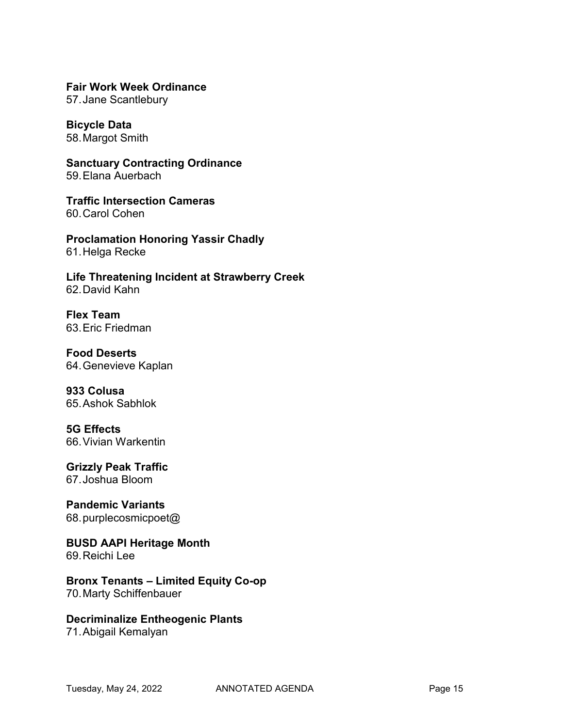**Fair Work Week Ordinance**

57.Jane Scantlebury

**Bicycle Data** 58.Margot Smith

**Sanctuary Contracting Ordinance** 59.Elana Auerbach

**Traffic Intersection Cameras** 60.Carol Cohen

**Proclamation Honoring Yassir Chadly** 61.Helga Recke

**Life Threatening Incident at Strawberry Creek** 62.David Kahn

**Flex Team** 63.Eric Friedman

**Food Deserts** 64.Genevieve Kaplan

**933 Colusa** 65.Ashok Sabhlok

#### **5G Effects** 66.Vivian Warkentin

**Grizzly Peak Traffic** 67.Joshua Bloom

**Pandemic Variants** 68.purplecosmicpoet@

**BUSD AAPI Heritage Month** 69.Reichi Lee

#### **Bronx Tenants – Limited Equity Co-op** 70.Marty Schiffenbauer

**Decriminalize Entheogenic Plants**

71.Abigail Kemalyan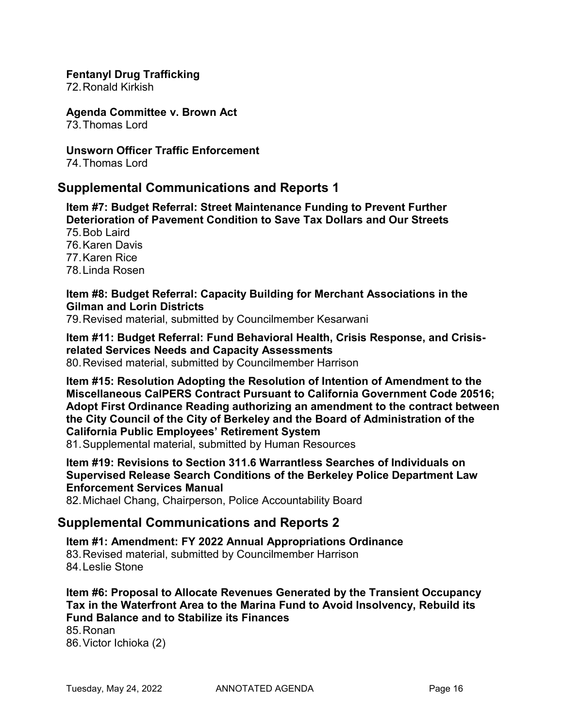#### **Fentanyl Drug Trafficking**

72.Ronald Kirkish

**Agenda Committee v. Brown Act** 73.Thomas Lord

**Unsworn Officer Traffic Enforcement** 74.Thomas Lord

## **Supplemental Communications and Reports 1**

**Item #7: Budget Referral: Street Maintenance Funding to Prevent Further Deterioration of Pavement Condition to Save Tax Dollars and Our Streets**  75.Bob Laird 76.Karen Davis 77.Karen Rice 78.Linda Rosen

#### **Item #8: Budget Referral: Capacity Building for Merchant Associations in the Gilman and Lorin Districts**

79.Revised material, submitted by Councilmember Kesarwani

**Item #11: Budget Referral: Fund Behavioral Health, Crisis Response, and Crisisrelated Services Needs and Capacity Assessments**

80.Revised material, submitted by Councilmember Harrison

**Item #15: Resolution Adopting the Resolution of Intention of Amendment to the Miscellaneous CalPERS Contract Pursuant to California Government Code 20516; Adopt First Ordinance Reading authorizing an amendment to the contract between the City Council of the City of Berkeley and the Board of Administration of the California Public Employees' Retirement System**

81.Supplemental material, submitted by Human Resources

**Item #19: Revisions to Section 311.6 Warrantless Searches of Individuals on Supervised Release Search Conditions of the Berkeley Police Department Law Enforcement Services Manual**

82.Michael Chang, Chairperson, Police Accountability Board

## **Supplemental Communications and Reports 2**

**Item #1: Amendment: FY 2022 Annual Appropriations Ordinance**  83.Revised material, submitted by Councilmember Harrison 84.Leslie Stone

**Item #6: Proposal to Allocate Revenues Generated by the Transient Occupancy Tax in the Waterfront Area to the Marina Fund to Avoid Insolvency, Rebuild its Fund Balance and to Stabilize its Finances**  85.Ronan

86.Victor Ichioka (2)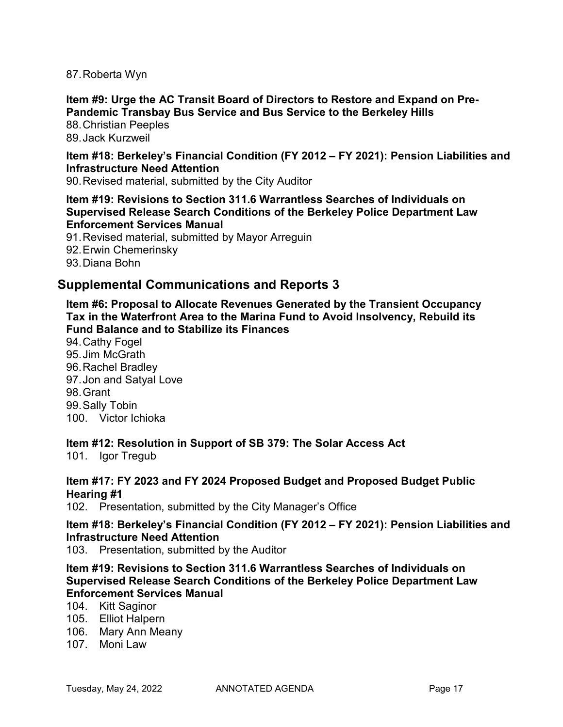87.Roberta Wyn

**Item #9: Urge the AC Transit Board of Directors to Restore and Expand on Pre-Pandemic Transbay Bus Service and Bus Service to the Berkeley Hills** 

88.Christian Peeples 89.Jack Kurzweil

**Item #18: Berkeley's Financial Condition (FY 2012 – FY 2021): Pension Liabilities and Infrastructure Need Attention**

90.Revised material, submitted by the City Auditor

**Item #19: Revisions to Section 311.6 Warrantless Searches of Individuals on Supervised Release Search Conditions of the Berkeley Police Department Law Enforcement Services Manual**

91.Revised material, submitted by Mayor Arreguin 92.Erwin Chemerinsky 93.Diana Bohn

## **Supplemental Communications and Reports 3**

**Item #6: Proposal to Allocate Revenues Generated by the Transient Occupancy Tax in the Waterfront Area to the Marina Fund to Avoid Insolvency, Rebuild its Fund Balance and to Stabilize its Finances** 

94.Cathy Fogel 95.Jim McGrath 96.Rachel Bradley 97.Jon and Satyal Love 98.Grant 99.Sally Tobin 100. Victor Ichioka

**Item #12: Resolution in Support of SB 379: The Solar Access Act**

101. Igor Tregub

#### **Item #17: FY 2023 and FY 2024 Proposed Budget and Proposed Budget Public Hearing #1**

102. Presentation, submitted by the City Manager's Office

### **Item #18: Berkeley's Financial Condition (FY 2012 – FY 2021): Pension Liabilities and Infrastructure Need Attention**

103. Presentation, submitted by the Auditor

### **Item #19: Revisions to Section 311.6 Warrantless Searches of Individuals on Supervised Release Search Conditions of the Berkeley Police Department Law Enforcement Services Manual**

- 104. Kitt Saginor
- 105. Elliot Halpern
- 106. Mary Ann Meany
- 107 Moni Law